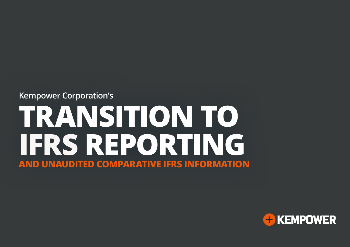# **Kempower Corporation's TRANSITION TO IFRS REPORTING AND UNAUDITED COMPARATIVE IFRS INFORMATION**

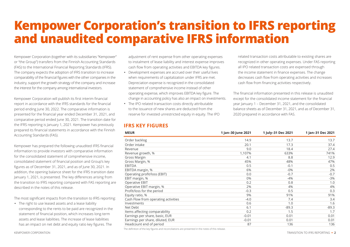## **Kempower Corporation's transition to IFRS reporting and unaudited comparative IFRS information**

Kempower Corporation (together with its subsidiaries "Kempower" or "the Group") transfers from the Finnish Accounting Standards (FAS) to the International Financial Reporting Standards (IFRS). The company expects the adoption of IFRS transition to increase comparability of the financial figures with the other companies in the industry, support the growth strategy of the company and increase the interest for the company among international investors.

Kempower Corporation will publish its first interim financial report in accordance with the IFRS standards for the financial period ending June 30, 2022. The comparative information is presented for the financial year ended December 31, 2021, and comparative period ended June 30, 2021. The transition date for the IFRS reporting is January 1, 2021. Kempower has previously prepared its financial statements in accordance with the Finnish Accounting Standards (FAS).

Kempower has prepared the following unaudited IFRS financial information to provide investors with comparative information for the consolidated statement of comprehensive income, consolidated statement of financial position and Group's key figures as of December 31, 2021, and as of June 30, 2021. In addition, the opening balance sheet for the IFRS transition date January 1, 2021, is presented. The key differences arising from the transition to IFRS reporting compared with FAS reporting are described in the notes of this release.

The most significant impacts from the transition to IFRS reporting:

• The right to use leased assets and a lease liability corresponding to the rents to be paid are recognized in the statement of financial position, which increases long-term assets and lease liabilities. The increase of lease liabilities has an impact on net debt and equity ratio key figures. The

adjustment of rent expense from other operating expenses to instalment of lease liability and interest expense improves cash flow from operating activities and EBITDA key figures.

- Development expenses are accrued over their useful lives when requirements of capitalization under IFRS are met. Depreciation expense is recognized in the consolidated statement of comprehensive income instead of other operating expense, which improves EBITDA key figure. The change in accounting policy has also an impact on investments.
- The IPO related transaction costs directly attributable to the issuance of new shares are deducted from the reserve for invested unrestricted equity in equity. The IPO

#### **IFRS KEY FIGURES**

related transaction costs attributable to existing shares are recognized in other operating expenses. Under FAS reporting all IPO related transaction costs are expensed through the income statement in finance expenses. The change decreases cash flow from operating activities and increases cash flow from financing activities respectively.

The financial information presented in this release is unaudited except for the consolidated income statement for the financial year January 1 – December 31, 2021, and the consolidated balance sheets as of December 31, 2021, and as of December 31, 2020 prepared in accordance with FAS.

| <b>MEUR</b>                         | 1 Jan-30 June 2021 | 1 July-31 Dec 2021 | 1 Jan-31 Dec 2021 |
|-------------------------------------|--------------------|--------------------|-------------------|
| Order backlog                       | 14.9               | 13.7               | 13.7              |
| Order intake                        | 20.1               | 17.3               | 37.4              |
| Revenue                             | 9.0                | 18.4               | 27.4              |
| Revenue growth, %                   | 1,107%             | 633%               | 741%              |
| Gross Margin                        | 4.1                | 8.8                | 12.9              |
| Gross Margin, %                     | 45%                | 48%                | 47%               |
| <b>EBITDA</b>                       | 0.5                | $-0.1$             | 0.5               |
| EBITDA margin, %                    | 6%                 | $-0\%$             | 2%                |
| Operating profit/loss (EBIT)        | 0.0                | $-0.7$             | $-0.7$            |
| EBIT margin, %                      | 0%                 | $-4%$              | $-3%$             |
| Operative EBIT                      | 0.2                | 0.8                | 1.0               |
| Operative EBIT margin, %            | 2%                 | 4%                 | 4%                |
| Profit/loss for the period          | $-0.3$             | 0.5                | 0.3               |
| Equity ratio, %                     | 9%                 | 91%                | 91%               |
| Cash Flow from operating activities | $-4.0$             | 7.4                | 3.4               |
| Investments                         | 0.6                | 1.0                | 1.6               |
| Net Debt                            | 6.1                | $-89.3$            | $-89.3$           |
| Items affecting comparability       | 0.2                | 1.5                | 1.7               |
| Earnings per share, basic, EUR      | $-0.01$            | 0.01               | 0.01              |
| Earnings per share, diluted, EUR    | $-0.01$            | 0.01               | 0.01              |
| Headcount end of period             | 87                 | 136                | 136               |

The definition of the key figures and reconciliations are presented in the notes of this release.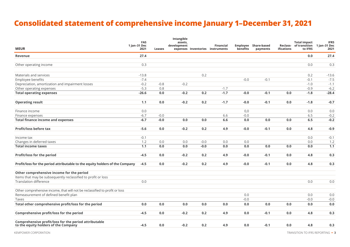## **Consolidated statement of comprehensive income January 1–December 31, 2021**

| <b>MEUR</b>                                                                                   | <b>FAS</b><br>1 Jan-31 Dec<br>2021 | Leases  | Intangible<br>assets,<br>development |        | <b>Financial</b><br>expenses Inventories instruments | benefits | Employee Share-based<br>payments | ifications | <b>Total impact</b><br>Reclass- of transition 1 Jan-31 Dec<br>to IFRS | <b>IFRS</b><br>2021 |
|-----------------------------------------------------------------------------------------------|------------------------------------|---------|--------------------------------------|--------|------------------------------------------------------|----------|----------------------------------|------------|-----------------------------------------------------------------------|---------------------|
| Revenue                                                                                       | 27.4                               |         |                                      |        |                                                      |          |                                  |            | 0.0                                                                   | 27.4                |
| Other operating income                                                                        | 0.3                                |         |                                      |        |                                                      |          |                                  |            | 0.0                                                                   | 0.3                 |
| Materials and services                                                                        | $-13.8$                            |         |                                      | 0.2    |                                                      |          |                                  |            | 0.2                                                                   | $-13.6$             |
| Employee benefits                                                                             | $-7.4$                             |         |                                      |        |                                                      | $-0.0$   | $-0.1$                           |            | $-0.1$                                                                | $-7.5$              |
| Depreciation, amortization and impairment losses                                              | $-0.2$                             | $-0.8$  | $-0.2$                               |        |                                                      |          |                                  |            | $-1.0$                                                                | $-1.1$              |
| Other operating expenses                                                                      | $-5.3$                             | 0.8     |                                      |        | $-1.7$                                               |          |                                  |            | $-0.9$                                                                | $-6.2$              |
| <b>Total operating expenses</b>                                                               | $-26.6$                            | 0.0     | $-0.2$                               | 0.2    | $-1.7$                                               | $-0.0$   | $-0.1$                           | 0.0        | $-1.8$                                                                | $-28.4$             |
| <b>Operating result</b>                                                                       | 1.1                                | $0.0\,$ | $-0.2$                               | 0.2    | $-1.7$                                               | $-0.0$   | $-0.1$                           | 0.0        | $-1.8$                                                                | $-0.7$              |
| Finance income                                                                                | 0.0                                |         |                                      |        |                                                      | 0.0      |                                  |            | 0.0                                                                   | 0.0                 |
| Finance expenses                                                                              | $-6.7$                             | $-0.0$  |                                      |        | 6.6                                                  | $-0.0$   |                                  |            | 6.5                                                                   | $-0.2$              |
| <b>Total finance income and expenses</b>                                                      | $-6.7$                             | $-0.0$  | 0.0                                  | 0.0    | 6.6                                                  | 0.0      | $0.0\,$                          | $0.0\,$    | 6.5                                                                   | $-0.2$              |
| <b>Profit/loss before tax</b>                                                                 | $-5.6$                             | $0.0\,$ | $-0.2$                               | 0.2    | 4.9                                                  | $-0.0$   | $-0.1$                           | $0.0\,$    | 4.8                                                                   | $-0.9$              |
| Income tax                                                                                    | $-0.1$                             |         |                                      |        |                                                      |          |                                  |            | 0.0                                                                   | $-0.1$              |
| Changes in deferred taxes                                                                     | 1.2                                | $0.0\,$ | 0.0                                  | $-0.0$ | 0.0                                                  | 0.0      |                                  |            | 0.0                                                                   | 1.2                 |
| <b>Total income taxes</b>                                                                     | 1.1                                | $0.0\,$ | 0.0                                  | $-0.0$ | 0.0                                                  | 0.0      | 0.0                              | 0.0        | 0.0                                                                   | 1.1                 |
| Profit/loss for the period                                                                    | $-4.5$                             | 0.0     | $-0.2$                               | 0.2    | 4.9                                                  | $-0.0$   | $-0.1$                           | 0.0        | 4.8                                                                   | 0.3                 |
| Profit/loss for the period attributable to the equity holders of the Company                  | $-4.5$                             | 0.0     | $-0.2$                               | 0.2    | 4.9                                                  | $-0.0$   | $-0.1$                           | 0.0        | 4.8                                                                   | 0.3                 |
| Other comprehensive income for the period                                                     |                                    |         |                                      |        |                                                      |          |                                  |            |                                                                       |                     |
| Items that may be subsequently reclassified to profit or loss                                 |                                    |         |                                      |        |                                                      |          |                                  |            |                                                                       |                     |
| <b>Translation difference</b>                                                                 | $0.0\,$                            |         |                                      |        |                                                      |          |                                  |            | 0.0                                                                   | 0.0                 |
| Other comprehensive income, that will not be reclassified to profit or loss                   |                                    |         |                                      |        |                                                      |          |                                  |            |                                                                       |                     |
| Remeasurement of defined benefit plan                                                         |                                    |         |                                      |        |                                                      | 0.0      |                                  |            | 0.0                                                                   | 0.0                 |
| Taxes                                                                                         |                                    |         |                                      |        |                                                      | $-0.0$   |                                  |            | $-0.0$                                                                | $-0.0$              |
| Total other comprehensive profit/loss for the period                                          | 0.0                                | $0.0\,$ | 0.0                                  | 0.0    | 0.0                                                  | 0.0      | 0.0                              | 0.0        | 0.0                                                                   | 0.0                 |
| Comprehensive profit/loss for the period                                                      | $-4.5$                             | 0.0     | $-0.2$                               | 0.2    | 4.9                                                  | 0.0      | $-0.1$                           | 0.0        | 4.8                                                                   | 0.3                 |
| Comprehensive profit/loss for the period attributable<br>to the equity holders of the Company | $-4.5$                             | 0.0     | $-0.2$                               | 0.2    | 4.9                                                  | 0.0      | $-0.1$                           | 0.0        | 4.8                                                                   | 0.3                 |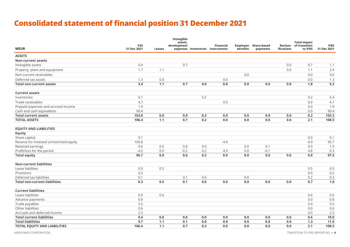## **Consolidated statement of financial position 31 December 2021**

| <b>MEUR</b>                              | <b>FAS</b><br>31 Dec 2021 | Leases  | Intangible<br>assets,<br>development |         | <b>Financial</b><br>expenses Inventories instruments | benefits | <b>Employee Share-based</b><br>payments | ifications | <b>Total impact</b><br>Reclass- of transition<br>to IFRS | <b>IFRS</b><br>31 Dec 2021 |
|------------------------------------------|---------------------------|---------|--------------------------------------|---------|------------------------------------------------------|----------|-----------------------------------------|------------|----------------------------------------------------------|----------------------------|
| <b>ASSETS</b>                            |                           |         |                                      |         |                                                      |          |                                         |            |                                                          |                            |
| <b>Non-current assets</b>                |                           |         |                                      |         |                                                      |          |                                         |            |                                                          |                            |
| Intangible assets                        | 0.4                       |         | 0.7                                  |         |                                                      |          |                                         | 0.0        | 0.7                                                      | 1.1                        |
| Property, plant and equipment            | 1.7                       | 1.1     |                                      |         |                                                      |          |                                         | 0.0        | 1.1                                                      | 2.9                        |
| Non-current receivables                  |                           |         |                                      |         |                                                      | 0,0      |                                         |            | 0,0                                                      | 0,0                        |
| Deferred tax assets                      | 1.3                       | $0.0\,$ |                                      |         | 0.0                                                  |          |                                         |            | 0.0                                                      | 1.3                        |
| <b>Total non-current assets</b>          | 3.4                       | 1.1     | 0.7                                  | $0.0\,$ | $0.0\,$                                              | $0.0\,$  | 0.0                                     | 0.0        | 1.8                                                      | 5.2                        |
| <b>Current assets</b>                    |                           |         |                                      |         |                                                      |          |                                         |            |                                                          |                            |
| Inventories                              | 6.1                       |         |                                      | 0.2     |                                                      |          |                                         |            | 0.2                                                      | 6.4                        |
| Trade receivables                        | 4.7                       |         |                                      |         | $0.0\,$                                              |          |                                         |            | 0.0                                                      | 4.7                        |
| Prepaid expenses and accrued income      | 1.9                       |         |                                      |         |                                                      |          |                                         |            | 0.0                                                      | 1.9                        |
| Cash and cash equivalents                | 90.4                      |         |                                      |         |                                                      |          |                                         |            | 0.0                                                      | 90.4                       |
| <b>Total current assets</b>              | 103.0                     | 0.0     | 0.0                                  | 0.2     | 0.0                                                  | 0.0      | 0.0                                     | 0.0        | 0.2                                                      | 103.3                      |
| <b>TOTAL ASSETS</b>                      | 106.4                     | 1.1     | 0.7                                  | $0.2\,$ | 0.0                                                  | 0.0      | 0.0                                     | 0.0        | 2.1                                                      | 108.5                      |
| <b>EQUITY AND LIABILITIES</b>            |                           |         |                                      |         |                                                      |          |                                         |            |                                                          |                            |
| <b>Equity</b>                            |                           |         |                                      |         |                                                      |          |                                         |            |                                                          |                            |
| Share capital                            | 0.1                       |         |                                      |         |                                                      |          |                                         |            | 0.0                                                      | 0.1                        |
| Reserve for invested unrestricted equity | 100.6                     |         |                                      |         | $-4.9$                                               |          |                                         |            | $-4.9$                                                   | 95.7                       |
| Retained earnings                        | 0.6                       | $0.0\,$ | 0.8                                  | 0.0     |                                                      | 0.0      | 0.1                                     |            | 0.9                                                      | 1.5                        |
| Profit/loss for the period               | $-4.5$                    | $0.0\,$ | $-0.2$                               | 0.2     | 4.9                                                  | 0.0      | $-0.1$                                  |            | 4.8                                                      | 0.3                        |
| <b>Total equity</b>                      | 96.7                      | 0.0     | 0.6                                  | 0.2     | 0.0                                                  | 0.0      | 0.0                                     | 0.0        | 0.8                                                      | 97.5                       |
| <b>Non-current liabilities</b>           |                           |         |                                      |         |                                                      |          |                                         |            |                                                          |                            |
| Lease liabilities                        | $0.0\,$                   | 0.5     |                                      |         |                                                      |          |                                         |            | 0.5                                                      | 0.5                        |
| Provisions                               | 0.2                       |         |                                      |         |                                                      |          |                                         |            | 0.0                                                      | 0.2                        |
| Deferred tax liabilities                 | 0.1                       |         | 0.1                                  | 0.0     |                                                      | 0.0      |                                         |            | 0.2                                                      | 0.3                        |
| <b>Total non-current liabilities</b>     | 0.3                       | 0.5     | 0.1                                  | 0.0     | 0.0                                                  | 0.0      | 0.0                                     | 0.0        | 0.7                                                      | 1.0                        |
| <b>Current liabilities</b>               |                           |         |                                      |         |                                                      |          |                                         |            |                                                          |                            |
| Lease liabilities                        | 0.0                       | 0.6     |                                      |         |                                                      |          |                                         |            | 0.6                                                      | 0.6                        |
| Advance payments                         | 0.8                       |         |                                      |         |                                                      |          |                                         |            | 0.0                                                      | 0.8                        |
| Trade payables                           | 5.5                       |         |                                      |         |                                                      |          |                                         |            | 0.0                                                      | 5.5                        |
| Other liabilities                        | 0.6                       |         |                                      |         |                                                      |          |                                         |            | 0.0                                                      | 0.6                        |
| Accruals and deferred income             | 2.5                       |         |                                      |         |                                                      |          |                                         |            | 0.0                                                      | 2.5                        |
| <b>Total current liabilities</b>         | 9.4                       | 0.6     | 0.0                                  | 0.0     | 0.0                                                  | 0.0      | 0.0                                     | 0.0        | 0.6                                                      | 10.0                       |
| <b>Total liabilities</b>                 | 9.7                       | 1.1     | 0.1                                  | 0.0     | 0.0                                                  | 0.0      | 0.0                                     | 0.0        | 1.3                                                      | 11.0                       |
| <b>TOTAL EQUITY AND LIABILITIES</b>      | 106.4                     | 1.1     | 0.7                                  | 0.2     | 0.0                                                  | 0.0      | 0.0                                     | 0.0        | 2.1                                                      | 108.5                      |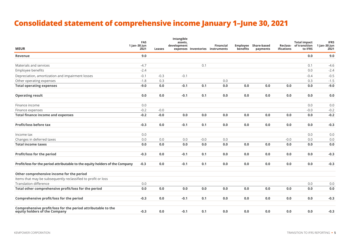## **Consolidated statement of comprehensive income January 1–June 30, 2021**

| <b>MEUR</b>                                                                                   | <b>FAS</b><br>1 Jan-30 Jun<br>2021 | Leases  | Intangible<br>assets,<br>development |        | <b>Financial</b><br>expenses Inventories instruments | Employee<br>benefits | Share-based<br>payments | ifications | <b>Total impact</b><br>Reclass- of transition<br>to IFRS | <b>IFRS</b><br>1 Jan-30 Jun<br>2021 |
|-----------------------------------------------------------------------------------------------|------------------------------------|---------|--------------------------------------|--------|------------------------------------------------------|----------------------|-------------------------|------------|----------------------------------------------------------|-------------------------------------|
| Revenue                                                                                       | 9.0                                |         |                                      |        |                                                      |                      |                         |            | 0.0                                                      | 9.0                                 |
| Materials and services                                                                        | $-4.7$                             |         |                                      | 0.1    |                                                      |                      |                         |            | 0.1                                                      | $-4.6$                              |
| Employee benefits                                                                             | $-2.4$                             |         |                                      |        |                                                      |                      |                         |            | 0.0                                                      | $-2.4$                              |
| Depreciation, amortization and impairment losses                                              | $-0.1$                             | $-0.3$  | $-0.1$                               |        |                                                      |                      |                         |            | $-0.4$                                                   | $-0.5$                              |
| Other operating expenses                                                                      | $-1.8$                             | 0.3     |                                      |        | 0.0                                                  |                      |                         |            | 0.3                                                      | $-1.5$                              |
| <b>Total operating expenses</b>                                                               | $-9.0$                             | $0.0\,$ | $-0.1$                               | 0.1    | 0.0                                                  | 0.0                  | 0.0                     | 0.0        | 0.0                                                      | $-9.0$                              |
| <b>Operating result</b>                                                                       | 0.0                                | $0.0\,$ | $-0.1$                               | 0.1    | 0.0                                                  | 0.0                  | 0.0                     | 0.0        | 0.0                                                      | 0.0                                 |
| Finance income                                                                                | 0.0                                |         |                                      |        |                                                      |                      |                         |            | 0.0                                                      | 0.0                                 |
| Finance expenses                                                                              | $-0.2$                             | $-0.0$  |                                      |        |                                                      |                      |                         |            | $-0.0$                                                   | $-0.2$                              |
| <b>Total finance income and expenses</b>                                                      | $-0.2$                             | $-0.0$  | 0.0                                  | 0.0    | 0.0                                                  | 0.0                  | 0.0                     | 0.0        | 0.0                                                      | $-0.2$                              |
| <b>Profit/loss before tax</b>                                                                 | $-0.3$                             | 0.0     | $-0.1$                               | 0.1    | 0.0                                                  | 0.0                  | $0.0\,$                 | 0.0        | 0.0                                                      | $-0.3$                              |
| Income tax                                                                                    | 0.0                                |         |                                      |        |                                                      |                      |                         |            | 0.0                                                      | 0.0                                 |
| Changes in deferred taxes                                                                     | 0.0                                | 0.0     | 0.0                                  | $-0.0$ | 0.0                                                  |                      |                         | $-0.0$     | 0.0                                                      | 0.0                                 |
| <b>Total income taxes</b>                                                                     | 0.0                                | 0.0     | 0.0                                  | 0.0    | 0.0                                                  | 0.0                  | 0.0                     | 0.0        | 0.0                                                      | 0.0                                 |
| Profit/loss for the period                                                                    | $-0.3$                             | 0.0     | $-0.1$                               | 0.1    | 0.0                                                  | 0.0                  | $0.0\,$                 | 0.0        | 0.0                                                      | $-0.3$                              |
| Profit/loss for the period attributable to the equity holders of the Company                  | $-0.3$                             | 0.0     | $-0.1$                               | 0.1    | 0.0                                                  | 0.0                  | 0.0                     | 0.0        | 0.0                                                      | $-0.3$                              |
| Other comprehensive income for the period                                                     |                                    |         |                                      |        |                                                      |                      |                         |            |                                                          |                                     |
| Items that may be subsequently reclassified to profit or loss                                 |                                    |         |                                      |        |                                                      |                      |                         |            |                                                          |                                     |
| <b>Translation difference</b>                                                                 | 0.0                                |         |                                      |        |                                                      |                      |                         |            | 0.0                                                      | 0.0                                 |
| Total other comprehensive profit/loss for the period                                          | 0.0                                | 0.0     | 0.0                                  | 0.0    | 0.0                                                  | 0.0                  | 0.0                     | 0.0        | 0.0                                                      | 0.0                                 |
| Comprehensive profit/loss for the period                                                      | $-0.3$                             | 0.0     | $-0.1$                               | 0.1    | 0.0                                                  | 0.0                  | $0.0\,$                 | 0.0        | 0.0                                                      | $-0.3$                              |
| Comprehensive profit/loss for the period attributable to the<br>equity holders of the Company | $-0.3$                             | 0.0     | $-0.1$                               | 0.1    | 0.0                                                  | 0.0                  | 0.0                     | 0.0        | 0.0                                                      | $-0.3$                              |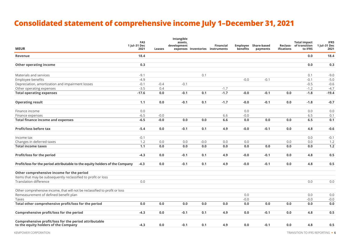## **Consolidated statement of comprehensive income July 1–December 31, 2021**

| <b>MEUR</b>                                                                                   | <b>FAS</b><br>1 Jul-31 Dec<br>2021 | Leases  | Intangible<br>assets,<br>development |        | <b>Financial</b><br>expenses Inventories instruments | benefits | <b>Employee Share-based</b><br>payments | ifications | <b>Total impact</b><br>Reclass- of transition<br>to IFRS | <b>IFRS</b><br>1 Jul-31 Dec<br>2021 |
|-----------------------------------------------------------------------------------------------|------------------------------------|---------|--------------------------------------|--------|------------------------------------------------------|----------|-----------------------------------------|------------|----------------------------------------------------------|-------------------------------------|
| Revenue                                                                                       | 18.4                               |         |                                      |        |                                                      |          |                                         |            | 0.0                                                      | 18.4                                |
| <b>Other operating income</b>                                                                 | 0.3                                |         |                                      |        |                                                      |          |                                         |            | 0.0                                                      | 0.3                                 |
| Materials and services                                                                        | $-9.1$                             |         |                                      | 0.1    |                                                      |          |                                         |            | 0.1                                                      | $-9.0$                              |
| Employee benefits                                                                             | $-4.9$                             |         |                                      |        |                                                      | $-0.0$   | $-0.1$                                  |            | $-0.1$                                                   | $-5.0$                              |
| Depreciation, amortization and impairment losses                                              | $-0.1$                             | $-0.4$  | $-0.1$                               |        |                                                      |          |                                         |            | $-0.5$                                                   | $-0.6$                              |
| Other operating expenses                                                                      | $-3.5$                             | 0.4     |                                      |        | $-1.7$                                               |          |                                         |            | $-1.2$                                                   | $-4.7$                              |
| <b>Total operating expenses</b>                                                               | $-17.6$                            | 0.0     | $-0.1$                               | 0.1    | $-1.7$                                               | $-0.0$   | $-0.1$                                  | 0.0        | $-1.8$                                                   | $-19.4$                             |
| <b>Operating result</b>                                                                       | 1.1                                | 0.0     | $-0.1$                               | 0.1    | $-1.7$                                               | $-0.0$   | $-0.1$                                  | 0.0        | $-1.8$                                                   | $-0.7$                              |
| Finance income                                                                                | 0.0                                |         |                                      |        |                                                      | 0.0      |                                         |            | 0.0                                                      | 0.0                                 |
| Finance expenses                                                                              | $-6.5$                             | $-0.0$  |                                      |        | 6.6                                                  | $-0.0$   |                                         |            | 6.5                                                      | 0.1                                 |
| <b>Total finance income and expenses</b>                                                      | $-6.5$                             | $-0.0$  | 0.0                                  | 0.0    | 6.6                                                  | 0.0      | 0.0                                     | 0.0        | 6.5                                                      | 0.1                                 |
| Profit/loss before tax                                                                        | $-5.4$                             | 0.0     | $-0.1$                               | 0.1    | 4.9                                                  | $-0.0$   | $-0.1$                                  | 0.0        | 4.8                                                      | $-0.6$                              |
| Income tax                                                                                    | $-0.1$                             |         |                                      |        |                                                      |          |                                         |            | 0.0                                                      | $-0.1$                              |
| Changes in deferred taxes                                                                     | 1.2                                | $0.0\,$ | 0.0                                  | $-0.0$ | 0.0                                                  | 0.0      |                                         | $0.0\,$    | $0.0\,$                                                  | 1.2                                 |
| <b>Total income taxes</b>                                                                     | 1.1                                | 0.0     | 0.0                                  | 0.0    | 0.0                                                  | 0.0      | 0.0                                     | 0.0        | 0.0                                                      | 1.2                                 |
| Profit/loss for the period                                                                    | $-4.3$                             | 0.0     | $-0.1$                               | 0.1    | 4.9                                                  | $-0.0$   | $-0.1$                                  | 0.0        | 4.8                                                      | 0.5                                 |
| Profit/loss for the period attributable to the equity holders of the Company                  | $-4.3$                             | 0.0     | $-0.1$                               | 0.1    | 4.9                                                  | $-0.0$   | $-0.1$                                  | 0.0        | 4.8                                                      | 0.5                                 |
| Other comprehensive income for the period                                                     |                                    |         |                                      |        |                                                      |          |                                         |            |                                                          |                                     |
| Items that may be subsequently reclassified to profit or loss                                 |                                    |         |                                      |        |                                                      |          |                                         |            |                                                          |                                     |
| <b>Translation difference</b>                                                                 | 0.0                                |         |                                      |        |                                                      |          |                                         |            | 0.0                                                      | 0.0                                 |
| Other comprehensive income, that will not be reclassified to profit or loss                   |                                    |         |                                      |        |                                                      |          |                                         |            |                                                          |                                     |
| Remeasurement of defined benefit plan                                                         |                                    |         |                                      |        |                                                      | 0.0      |                                         |            | 0.0                                                      | 0.0                                 |
| Taxes                                                                                         |                                    |         |                                      |        |                                                      | $-0.0$   |                                         |            | $-0.0$                                                   | $-0.0$                              |
| Total other comprehensive profit/loss for the period                                          | 0.0                                | 0.0     | 0.0                                  | 0.0    | 0.0                                                  | 0.0      | 0.0                                     | 0.0        | 0.0                                                      | 0.0                                 |
| Comprehensive profit/loss for the period                                                      | $-4.3$                             | 0.0     | $-0.1$                               | 0.1    | 4.9                                                  | 0.0      | $-0.1$                                  | 0.0        | 4.8                                                      | 0.5                                 |
| Comprehensive profit/loss for the period attributable<br>to the equity holders of the Company | $-4.3$                             | 0.0     | $-0.1$                               | 0.1    | 4.9                                                  | 0.0      | $-0.1$                                  | 0.0        | 4.8                                                      | 0.5                                 |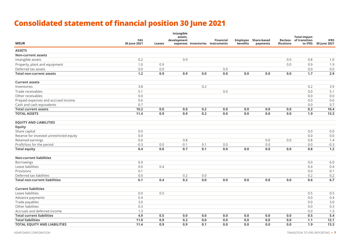## **Consolidated statement of financial position 30 June 2021**

| <b>MEUR</b>                              | <b>FAS</b><br>30 June 2021 | <b>Leases</b> | Intangible<br>assets,<br>development |         | <b>Financial</b><br>expenses Inventories instruments | benefits | Employee Share-based<br>payments | ifications | <b>Total impact</b><br>Reclass- of transition<br>to IFRS | <b>IFRS</b><br>30 June 2021 |
|------------------------------------------|----------------------------|---------------|--------------------------------------|---------|------------------------------------------------------|----------|----------------------------------|------------|----------------------------------------------------------|-----------------------------|
| <b>ASSETS</b>                            |                            |               |                                      |         |                                                      |          |                                  |            |                                                          |                             |
| <b>Non-current assets</b>                |                            |               |                                      |         |                                                      |          |                                  |            |                                                          |                             |
| Intangible assets                        | 0.2                        |               | 0.9                                  |         |                                                      |          |                                  | 0.0        | 0.8                                                      | 1.0                         |
| Property, plant and equipment            | 1.0                        | 0.9           |                                      |         |                                                      |          |                                  | 0.0        | 0.9                                                      | 1.9                         |
| Deferred tax assets                      | $0.0\,$                    | $0.0\,$       |                                      |         | 0.0                                                  |          |                                  |            | 0.0                                                      | 0.0                         |
| <b>Total non-current assets</b>          | $1.2$                      | 0.9           | 0.9                                  | 0.0     | 0.0                                                  | 0.0      | 0.0                              | 0.0        | 1.7                                                      | 2.9                         |
| <b>Current assets</b>                    |                            |               |                                      |         |                                                      |          |                                  |            |                                                          |                             |
| Inventories                              | 3.8                        |               |                                      | 0.2     |                                                      |          |                                  |            | 0.2                                                      | 3.9                         |
| Trade receivables                        | 5.1                        |               |                                      |         | 0.0                                                  |          |                                  |            | $0.0\,$                                                  | 5.1                         |
| Other receivables                        | 0.0                        |               |                                      |         |                                                      |          |                                  |            | 0.0                                                      | 0.0                         |
| Prepaid expenses and accrued income      | 0.6                        |               |                                      |         |                                                      |          |                                  |            | 0.0                                                      | 0.6                         |
| Cash and cash equivalents                | 0.7                        |               |                                      |         |                                                      |          |                                  |            | $0.0\,$                                                  | 0.7                         |
| <b>Total current assets</b>              | 10.2                       | 0.0           | 0.0                                  | 0.2     | 0.0                                                  | 0.0      | 0.0                              | 0.0        | 0.2                                                      | 10.4                        |
| <b>TOTAL ASSETS</b>                      | 11.4                       | 0.9           | 0.9                                  | $0.2\,$ | 0.0                                                  | 0.0      | 0.0                              | 0.0        | 1.9                                                      | 13.3                        |
| <b>EQUITY AND LIABILITIES</b>            |                            |               |                                      |         |                                                      |          |                                  |            |                                                          |                             |
| <b>Equity</b>                            |                            |               |                                      |         |                                                      |          |                                  |            |                                                          |                             |
| Share capital                            | 0.0                        |               |                                      |         |                                                      |          |                                  |            | 0.0                                                      | 0.0                         |
| Reserve for invested unrestricted equity | 0.0                        |               |                                      |         |                                                      |          |                                  |            | $0.0\,$                                                  | 0.0                         |
| Retained earnings                        | 0.6                        |               | 0.8                                  |         |                                                      |          | 0.0                              | 0.0        | 0.8                                                      | 1.4                         |
| Profit/loss for the period               | $-0.3$                     | 0.0           | $-0.1$                               | 0.1     | 0.0                                                  |          | 0.0                              |            | 0.0                                                      | $-0.3$                      |
| <b>Total equity</b>                      | 0.4                        | 0.0           | 0.7                                  | 0.1     | 0.0                                                  | 0.0      | 0.0                              | 0.0        | 0.8                                                      | 1.2                         |
| <b>Non-current liabilities</b>           |                            |               |                                      |         |                                                      |          |                                  |            |                                                          |                             |
| Borrowings                               | $6.0\,$                    |               |                                      |         |                                                      |          |                                  |            | 0.0                                                      | 6.0                         |
| Lease liabilities                        | 0.0                        | 0.4           |                                      |         |                                                      |          |                                  |            | 0.4                                                      | 0.4                         |
| Provisions                               | 0.1                        |               |                                      |         |                                                      |          |                                  |            | 0.0                                                      | 0.1                         |
| Deferred tax liabilities                 | $0.0\,$                    |               | 0.2                                  | $0.0\,$ |                                                      |          |                                  |            | 0.2                                                      | 0.2                         |
| <b>Total non-current liabilities</b>     | 6.1                        | 0.4           | 0.2                                  | 0.0     | 0.0                                                  | 0.0      | 0.0                              | 0.0        | 0.6                                                      | 6.7                         |
| <b>Current liabilities</b>               |                            |               |                                      |         |                                                      |          |                                  |            |                                                          |                             |
| Lease liabilities                        | 0.0                        | 0.5           |                                      |         |                                                      |          |                                  |            | 0.5                                                      | 0.5                         |
| Advance payments                         | 0.4                        |               |                                      |         |                                                      |          |                                  |            | 0.0                                                      | 0.4                         |
| Trade payables                           | 3.0                        |               |                                      |         |                                                      |          |                                  |            | 0.0                                                      | 3.0                         |
| Other liabilities                        | 0.3                        |               |                                      |         |                                                      |          |                                  |            | $0.0\,$                                                  | 0.3                         |
| Accruals and deferred income             | 1.3                        |               |                                      |         |                                                      |          |                                  |            | 0.0                                                      | 1.3                         |
| <b>Total current liabilities</b>         | 4.9                        | 0.5           | 0.0                                  | 0.0     | 0.0                                                  | 0.0      | 0.0                              | 0.0        | 0.5                                                      | 5.4                         |
| <b>Total liabilities</b>                 | 11.0                       | 0.9           | 0.2                                  | 0.0     | 0.0                                                  | 0.0      | 0.0                              | 0.0        | 1.1                                                      | 12.1                        |
| <b>TOTAL EQUITY AND LIABILITIES</b>      | 11.4                       | 0.9           | 0.9                                  | 0.1     | 0.0                                                  | 0.0      | 0.0                              | 0.0        | 1.9                                                      | 13.3                        |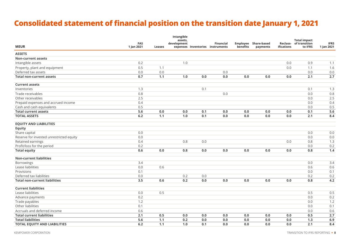## **Consolidated statement of financial position on the transition date January 1, 2021**

| <b>MEUR</b>                              | <b>FAS</b><br>1 Jan 2021 | Leases | Intangible<br>assets,<br>development |         | <b>Financial</b><br>expenses Inventories instruments | benefits | Employee Share-based<br>payments | ifications | <b>Total impact</b><br>Reclass- of transition<br>to IFRS | <b>IFRS</b><br>1 Jan 2021 |
|------------------------------------------|--------------------------|--------|--------------------------------------|---------|------------------------------------------------------|----------|----------------------------------|------------|----------------------------------------------------------|---------------------------|
| <b>ASSETS</b>                            |                          |        |                                      |         |                                                      |          |                                  |            |                                                          |                           |
| <b>Non-current assets</b>                |                          |        |                                      |         |                                                      |          |                                  |            |                                                          |                           |
| Intangible assets                        | 0.2                      |        | 1.0                                  |         |                                                      |          |                                  | 0.0        | 0.9                                                      | 1.1                       |
| Property, plant and equipment            | 0.5                      | 1.1    |                                      |         |                                                      |          |                                  | $0.0\,$    | 1.1                                                      | 1.6                       |
| Deferred tax assets                      | 0.0                      | 0.0    |                                      |         | 0.0                                                  |          |                                  |            | 0.0                                                      | 0.0                       |
| <b>Total non-current assets</b>          | 0.7                      | 1.1    | 1.0                                  | $0.0\,$ | 0.0                                                  | 0.0      | 0.0                              | 0.0        | 2.1                                                      | 2.7                       |
| <b>Current assets</b>                    |                          |        |                                      |         |                                                      |          |                                  |            |                                                          |                           |
| Inventories                              | 1.3                      |        |                                      | 0.1     |                                                      |          |                                  |            | 0.1                                                      | 1.3                       |
| Trade receivables                        | 0.8                      |        |                                      |         | 0.0                                                  |          |                                  |            | 0.0                                                      | 0.8                       |
| Other receivables                        | 2.5                      |        |                                      |         |                                                      |          |                                  |            | 0.0                                                      | 2.5                       |
| Prepaid expenses and accrued income      | 0.4                      |        |                                      |         |                                                      |          |                                  |            | 0.0                                                      | 0.4                       |
| Cash and cash equivalents                | 0.5                      |        |                                      |         |                                                      |          |                                  |            | 0.0                                                      | 0.5                       |
| <b>Total current assets</b>              | 5.6                      | 0.0    | 0.0                                  | 0.1     | 0.0                                                  | 0.0      | 0.0                              | 0.0        | 0.1                                                      | 5.6                       |
| <b>TOTAL ASSETS</b>                      | $6.2$                    | $1.1$  | 1.0                                  | 0.1     | 0.0                                                  | 0.0      | 0.0                              | 0.0        | 2.1                                                      | 8.4                       |
| <b>EQUITY AND LIABILITIES</b>            |                          |        |                                      |         |                                                      |          |                                  |            |                                                          |                           |
| <b>Equity</b>                            |                          |        |                                      |         |                                                      |          |                                  |            |                                                          |                           |
| Share capital                            | 0.0                      |        |                                      |         |                                                      |          |                                  |            | 0.0                                                      | 0.0                       |
| Reserve for invested unrestricted equity | 0.0                      |        |                                      |         |                                                      |          |                                  |            | 0.0                                                      | 0.0                       |
| Retained earnings                        | 0.4                      |        | 0.8                                  | $0.0\,$ |                                                      |          |                                  | 0.0        | 0.8                                                      | 1.3                       |
| Profit/loss for the period               | 0.2                      |        |                                      |         |                                                      |          |                                  |            | 0.0                                                      | 0.2                       |
| <b>Total equity</b>                      | 0.6                      | 0.0    | 0.8                                  | 0.0     | 0.0                                                  | 0.0      | 0.0                              | 0.0        | 0.8                                                      | 1.4                       |
| <b>Non-current liabilities</b>           |                          |        |                                      |         |                                                      |          |                                  |            |                                                          |                           |
| Borrowings                               | 3.4                      |        |                                      |         |                                                      |          |                                  |            | 0.0                                                      | 3.4                       |
| Lease liabilities                        | 0.0                      | 0.6    |                                      |         |                                                      |          |                                  |            | 0.6                                                      | 0.6                       |
| Provisions                               | 0.1                      |        |                                      |         |                                                      |          |                                  |            | 0.0                                                      | 0.1                       |
| Deferred tax liabilities                 | $0.0\,$                  |        | 0.2                                  | 0.0     |                                                      |          |                                  |            | 0.2                                                      | 0.2                       |
| <b>Total non-current liabilities</b>     | 3.5                      | 0.6    | 0.2                                  | $0.0\,$ | 0.0                                                  | 0.0      | 0.0                              | $0.0\,$    | 0.8                                                      | 4.2                       |
| <b>Current liabilities</b>               |                          |        |                                      |         |                                                      |          |                                  |            |                                                          |                           |
| Lease liabilities                        | $0.0\,$                  | 0.5    |                                      |         |                                                      |          |                                  |            | 0.5                                                      | 0.5                       |
| Advance payments                         | 0.2                      |        |                                      |         |                                                      |          |                                  |            | 0.0                                                      | 0.2                       |
| Trade payables                           | 1.2                      |        |                                      |         |                                                      |          |                                  |            | 0.0                                                      | 1.2                       |
| Other liabilities                        | 0.1                      |        |                                      |         |                                                      |          |                                  |            | 0.0                                                      | 0.1                       |
| Accruals and deferred income             | 0.6                      |        |                                      |         |                                                      |          |                                  |            | 0.0                                                      | 0.6                       |
| <b>Total current liabilities</b>         | 2.1                      | 0.5    | 0.0                                  | $0.0\,$ | 0.0                                                  | 0.0      | 0.0                              | 0.0        | 0.5                                                      | 2.7                       |
| <b>Total liabilities</b>                 | 5.6                      | $1.1$  | 0.2                                  | $0.0\,$ | 0.0                                                  | 0.0      | 0.0                              | 0.0        | 1.3                                                      | 6.9                       |
| <b>TOTAL EQUITY AND LIABILITIES</b>      | 6.2                      | 1.1    | 1.0                                  | 0.1     | 0.0                                                  | 0.0      | 0.0                              | 0.0        | 2.1                                                      | 8.4                       |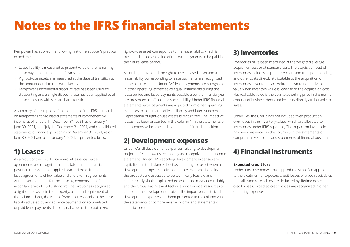## **Notes to the IFRS financial statements**

Kempower has applied the following first-time adopter's practical expedients:

- Lease liability is measured at present value of the remaining lease payments at the date of transition
- Right-of-use assets are measured at the date of transition at the amount equal to the lease liability
- Kempower's incremental discount rate has been used for discounting and a single discount rate has been applied to all lease contracts with similar characteristics

A summary of the impacts of the adoption of the IFRS standards on Kempower's consolidated statements of comprehensive income as of January 1 – December 31, 2021, as of January 1 – June 30, 2021, as of July 1 – December 31, 2021, and consolidated statements of financial position as of December 31, 2021, as of June 30, 2021 and as of January 1, 2021, is presented below.

#### **1) Leases**

As a result of the IFRS 16 standard, all essential lease agreements are recognized in the statement of financial position. The Group has applied practical expedients to lease agreements of low value and short-term agreements. At the transition date, for the lease agreements identified in accordance with IFRS 16 standard, the Group has recognized a right-of-use asset in the property, plant and equipment of the balance sheet, the value of which corresponds to the lease liability adjusted by any advance payments or accumulated unpaid lease payments. The original value of the capitalized

right-of-use asset corresponds to the lease liability, which is measured at present value of the lease payments to be paid in the future lease period.

According to standard the right to use a leased asset and a lease liability corresponding to lease payments are recognized in the balance sheet. Under FAS lease payments are recognized in other operating expenses as equal instalments during the lease period and lease payments payable after the financial year are presented as off-balance sheet liability. Under IFRS financial statements lease payments are adjusted from other operating expenses to instalments of lease liability and interest expense. Depreciation of right-of-use assets is recognized. The impact of leases has been presented in the column 1 in the statements of comprehensive income and statements of financial position.

#### **2) Development expenses**

Under FAS all development expenses relating to development projects of Kempower's technology are recognized in the income statement. Under IFRS reporting development expenses are capitalized in the balance sheet as an intangible asset when a development project is likely to generate economic benefits, the products are assessed to be technically feasible and commercially viable, capitalized expenses are measured reliably and the Group has relevant technical and financial resources to complete the development project. The impact on capitalized development expenses has been presented in the column 2 in the statements of comprehensive income and statements of financial position.

#### **3) Inventories**

Inventories have been measured at the weighted average acquisition cost or at standard cost. The acquisition cost of inventories includes all purchase costs and transport, handling and other costs directly attributable to the acquisition of inventories. Inventories are written down to net realizable value when inventory value is lower than the acquisition cost. Net realizable value is the estimated selling price in the normal conduct of business deducted by costs directly attributable to sales.

Under FAS the Group has not included fixed production overheads in the inventory values, which are allocated to inventories under IFRS reporting. The impact on inventories has been presented in the column 3 in the statements of comprehensive income and statements of financial position.

#### **4) Financial instruments**

#### **Expected credit loss**

Under IFRS 9 Kempower has applied the simplified approach to the treatment of expected credit losses of trade receivables, thus all trade receivables are deducted by lifetime expected credit losses. Expected credit losses are recognized in other operating expenses.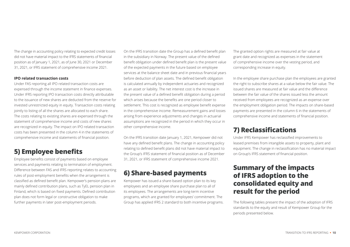The change in accounting policy relating to expected credit losses did not have material impact to the IFRS statements of financial position as of January 1, 2021, as of June 30, 2021 or December 31, 2021, or IFRS statement of comprehensive income 2021.

#### **IPO related transaction costs**

Under FAS reporting all IPO related transaction costs are expensed through the income statement in finance expenses. Under IFRS reporting IPO transaction costs directly attributable to the issuance of new shares are deducted from the reserve for invested unrestricted equity in equity. Transaction costs relating jointly to listing of all the shares are allocated to each share. The costs relating to existing shares are expensed through the statement of comprehensive income and costs of new shares are recognized in equity. The impact on IPO related transaction costs has been presented in the column 4 in the statements of comprehensive income and statements of financial position.

#### **5) Employee benefits**

Employee benefits consist of payments based on employee services and payments relating to termination of employment. Difference between FAS and IFRS reporting relates to accounting rules of post-employment benefits when the arrangement is classified as defined benefit plan. Kempower's pension plans are mainly defined contribution plans, such as TyEL pension plan in Finland, which is based on fixed payments. Defined contribution plan does not form legal or constructive obligation to make further payments in later post-employment periods.

On the IFRS transition date the Group has a defined benefit plan in the subsidiary in Norway. The present value of the defined benefit obligation under defined benefit plan is the present value of the expected payments in the future based on employee services at the balance sheet date and in previous financial years before deduction of plan assets. The defined benefit obligation is calculated annually by independent actuaries and recognized as an asset or liability. The net interest cost is the increase in the present value of a defined benefit obligation during a period which arises because the benefits are one period closer to settlement. This cost is recognized as employee benefit expense in the comprehensive income. Remeasurement gains and losses arising from experience adjustments and changes in actuarial assumptions are recognized in the period in which they occur in other comprehensive income.

On the IFRS transition date January 1, 2021, Kempower did not have any defined benefit plans. The change in accounting policy relating to defined benefit plans did not have material impact to the Group's IFRS statement of financial position as of December 31, 2021, or IFRS statement of comprehensive income 2021.

#### **6) Share-based payments**

Kempower has issued a share-based option plan to its key employees and an employee share purchase plan to all of its employees. The arrangements are long-term incentive programs, which are granted for employees' commitment. The Group has applied IFRS 2 standard to both incentive programs. The granted option rights are measured at fair value at grant date and recognized as expenses in the statement of comprehensive income over the vesting period, and corresponding increase in equity.

In the employee share purchase plan the employees are granted the right to subscribe shares at a value below the fair value. The issued shares are measured at fair value and the difference between the fair value of the shares issued less the amount received from employees are recognized as an expense over the employment obligation period. The impacts on share-based payments are presented in the column 6 in the statements of comprehensive income and statements of financial position.

#### **7) Reclassifications**

Under IFRS Kempower has reclassified improvements to leased premises from intangible assets to property, plant and equipment. The change in reclassification has no material impact on Group's IFRS statement of financial position.

#### **Summary of the impacts of IFRS adoption to the consolidated equity and result for the period**

The following tables present the impact of the adoption of IFRS standards to the equity and result of Kempower Group for the periods presented below.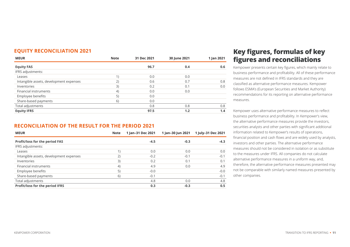| <b>EQUITY RECONCILIATION 2021</b> |  |
|-----------------------------------|--|
|-----------------------------------|--|

| <b>MEUR</b>                             | <b>Note</b>    | 31 Dec 2021 | 30 June 2021 | 1 Jan 2021 |
|-----------------------------------------|----------------|-------------|--------------|------------|
| <b>Equity FAS</b>                       |                | 96.7        | 0.4          | 0.6        |
| IFRS adjustments:                       |                |             |              |            |
| Leases                                  | 1 <sub>1</sub> | 0.0         | 0.0          |            |
| Intangible assets, development expenses | 2)             | 0.6         | 0.7          | 0.8        |
| Inventories                             | 3)             | 0.2         | 0.1          | 0.0        |
| Financial instruments                   | 4)             | 0.0         | 0.0          |            |
| Employee benefits                       | 5)             | 0.0         |              |            |
| Share-based payments                    | 6)             | 0.0         |              |            |
| Total adjustments                       |                | 0.8         | 0.8          | 0.8        |
| <b>Equity IFRS</b>                      |                | 97.5        | 1.2          | 1.4        |

#### **RECONCILIATION OF THE RESULT FOR THE PERIOD 2021**

| <b>MEUR</b>                             | <b>Note</b> | 1 Jan-31 Dec 2021 | 1 Jan-30 Jun 2021 | 1 July-31 Dec 2021 |
|-----------------------------------------|-------------|-------------------|-------------------|--------------------|
| <b>Profit/loss for the period FAS</b>   |             | $-4.5$            | $-0.3$            | $-4.3$             |
| IFRS adjustments:                       |             |                   |                   |                    |
| Leases                                  |             | 0.0               | 0.0               | 0.0                |
| Intangible assets, development expenses | (2)         | $-0.2$            | $-0.1$            | $-0.1$             |
| Inventories                             | 3)          | 0.2               | 0.1               | 0.1                |
| <b>Financial instruments</b>            | 4)          | 4.9               | 0.0               | 4.9                |
| Employee benefits                       | 5)          | $-0.0$            |                   | $-0.0$             |
| Share-based payments                    | 6)          | $-0.1$            |                   | $-0.1$             |
| Total adjustments                       |             | 4.8               | 0.0               | 4.8                |
| Profit/loss for the period IFRS         |             | 0.3               | $-0.3$            | 0.5                |

#### **Key figures, formulas of key figures and reconciliations**

Kempower presents certain key figures, which mainly relate to business performance and profitability. All of these performance measures are not defined in IFRS standards and they are classified as alternative performance measures. Kempower follows ESMA's (European Securities and Market Authority) recommendations for its reporting on alternative performance measures.

Kempower uses alternative performance measures to reflect business performance and profitability. In Kempower's view, the alternative performance measures provide the investors, securities analysts and other parties with significant additional information related to Kempower's results of operations, financial position and cash flows and are widely used by analysts, investors and other parties. The alternative performance measures should not be considered in isolation or as substitute to the measures under IFRS. All companies do not calculate alternative performance measures in a uniform way, and, therefore, the alternative performance measures presented may not be comparable with similarly named measures presented by other companies.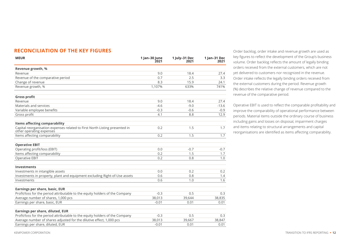| <b>RECONCILIATION OF THE KEY FIGURES</b> |  |  |
|------------------------------------------|--|--|
|------------------------------------------|--|--|

| <b>MEUR</b>                                                                                             | 1 Jan-30 June<br>2021 | 1 July-31 Dec<br>2021 | 1 Jan-31 Dec<br>2021 |
|---------------------------------------------------------------------------------------------------------|-----------------------|-----------------------|----------------------|
| Revenue growth, %                                                                                       |                       |                       |                      |
| Revenue                                                                                                 | 9.0                   | 18.4                  | 27.4                 |
| Revenue of the comparative period                                                                       | 0.7                   | 2.5                   | 3.3                  |
| Change of revenue                                                                                       | 8.3                   | 15.9                  | 24.1                 |
| Revenue growth, %                                                                                       | 1,107%                | 633%                  | 741%                 |
| <b>Gross profit</b>                                                                                     |                       |                       |                      |
| Revenue                                                                                                 | 9.0                   | 18.4                  | 27.4                 |
| Materials and services                                                                                  | $-4.6$                | $-9.0$                | $-13.6$              |
| Variable employee benefits                                                                              | $-0.3$                | $-0.6$                | $-0.9$               |
| Gross profit                                                                                            | 4.1                   | 8.8                   | 12.9                 |
| <b>Items affecting comparability</b>                                                                    |                       |                       |                      |
| Capital reorganisation expenses related to First North Listing presented in<br>other operating expenses | 0.2                   | 1.5                   | 1.7                  |
| Items affecting comparability                                                                           | 0.2                   | 1.5                   | 1.7                  |
| <b>Operative EBIT</b>                                                                                   |                       |                       |                      |
| Operating profit/loss (EBIT)                                                                            | 0.0                   | $-0.7$                | $-0.7$               |
| Items affecting comparability                                                                           | 0.2                   | 1.5                   | 1.7                  |
| Operative EBIT                                                                                          | 0.2                   | 0.8                   | 1.0                  |
| <b>Investments</b>                                                                                      |                       |                       |                      |
| Investments in intangible assets                                                                        | 0.0                   | 0.2                   | 0.2                  |
| Investments in property, plant and equipment excluding Right-of-Use assets                              | 0.6                   | 0.8                   | 1.4                  |
| Investments                                                                                             | 0.6                   | 1.0                   | 1.6                  |
| Earnings per share, basic, EUR                                                                          |                       |                       |                      |
| Profit/loss for the period attributable to the equity holders of the Company                            | $-0.3$                | 0.5                   | 0.3                  |
| Average number of shares, 1,000 pcs                                                                     | 38,013                | 39,644                | 38,835               |
| Earnings per share, basic, EUR                                                                          | $-0.01$               | 0.01                  | 0.01                 |
| Earnings per share, diluted, EUR                                                                        |                       |                       |                      |
| Profit/loss for the period attributable to the equity holders of the Company                            | $-0.3$                | 0.5                   | 0.3                  |
| Average number of shares adjusted for the dilutive effect, 1,000 pcs                                    | 38,013                | 39,667                | 38,847               |
| Earnings per share, diluted, EUR                                                                        | $-0.01$               | 0.01                  | 0.01                 |

Order backlog, order intake and revenue growth are used as key figures to reflect the development of the Group's business volume. Order backlog reflects the amount of legally binding orders received from the external customers, which are not yet delivered to customers nor recognized in the revenue. Order intake reflects the legally binding orders received from the external customers during the period. Revenue growth (%) describes the relative change of revenue compared to the revenue of the comparative period.

Operative EBIT is used to reflect the comparable profitability and improve the comparability of operational performance between periods. Material items outside the ordinary course of business including gains and losses on disposal, impairment charges and items relating to structural arrangements and capital reorganisations are identified as items affecting comparability.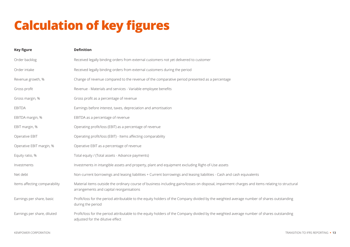## **Calculation of key figures**

| <b>Key figure</b>             | <b>Definition</b>                                                                                                                                                                          |
|-------------------------------|--------------------------------------------------------------------------------------------------------------------------------------------------------------------------------------------|
| Order backlog                 | Received legally binding orders from external customers not yet delivered to customer                                                                                                      |
| Order intake                  | Received legally binding orders from external customers during the period                                                                                                                  |
| Revenue growth, %             | Change of revenue compared to the revenue of the comparative period presented as a percentage                                                                                              |
| Gross profit                  | Revenue - Materials and services - Variable employee benefits                                                                                                                              |
| Gross margin, %               | Gross profit as a percentage of revenue                                                                                                                                                    |
| <b>EBITDA</b>                 | Earnings before interest, taxes, depreciation and amortisation                                                                                                                             |
| EBITDA margin, %              | EBITDA as a percentage of revenue                                                                                                                                                          |
| EBIT margin, %                | Operating profit/loss (EBIT) as a percentage of revenue                                                                                                                                    |
| Operative EBIT                | Operating profit/loss (EBIT) - Items affecting comparability                                                                                                                               |
| Operative EBIT margin, %      | Operative EBIT as a percentage of revenue                                                                                                                                                  |
| Equity ratio, %               | Total equity / (Total assets - Advance payments)                                                                                                                                           |
| Investments                   | Investments in intangible assets and property, plant and equipment excluding Right-of-Use assets                                                                                           |
| Net debt                      | Non-current borrowings and leasing liabilities + Current borrowings and leasing liabilities - Cash and cash equivalents                                                                    |
| Items affecting comparability | Material items outside the ordinary course of business including gains/losses on disposal, impairment charges and items relating to structural<br>arrangements and capital reorganisations |
| Earnings per share, basic     | Profit/loss for the period attributable to the equity holders of the Company divided by the weighted average number of shares outstanding<br>during the period                             |
| Earnings per share, diluted   | Profit/loss for the period attributable to the equity holders of the Company divided by the weighted average number of shares outstanding<br>adjusted for the dilutive effect              |